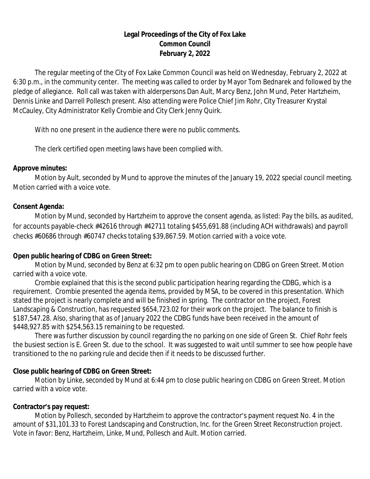# **Legal Proceedings of the City of Fox Lake Common Council February 2, 2022**

The regular meeting of the City of Fox Lake Common Council was held on Wednesday, February 2, 2022 at 6:30 p.m., in the community center. The meeting was called to order by Mayor Tom Bednarek and followed by the pledge of allegiance. Roll call was taken with alderpersons Dan Ault, Marcy Benz, John Mund, Peter Hartzheim, Dennis Linke and Darrell Pollesch present. Also attending were Police Chief Jim Rohr, City Treasurer Krystal McCauley, City Administrator Kelly Crombie and City Clerk Jenny Quirk.

With no one present in the audience there were no public comments.

The clerk certified open meeting laws have been complied with.

### **Approve minutes:**

Motion by Ault, seconded by Mund to approve the minutes of the January 19, 2022 special council meeting. Motion carried with a voice vote.

# **Consent Agenda:**

Motion by Mund, seconded by Hartzheim to approve the consent agenda, as listed: Pay the bills, as audited, for accounts payable-check #42616 through #42711 totaling \$455,691.88 (including ACH withdrawals) and payroll checks #60686 through #60747 checks totaling \$39,867.59. Motion carried with a voice vote.

# **Open public hearing of CDBG on Green Street:**

Motion by Mund, seconded by Benz at 6:32 pm to open public hearing on CDBG on Green Street. Motion carried with a voice vote.

Crombie explained that this is the second public participation hearing regarding the CDBG, which is a requirement. Crombie presented the agenda items, provided by MSA, to be covered in this presentation. Which stated the project is nearly complete and will be finished in spring. The contractor on the project, Forest Landscaping & Construction, has requested \$654,723.02 for their work on the project. The balance to finish is \$187,547.28. Also, sharing that as of January 2022 the CDBG funds have been received in the amount of \$448,927.85 with \$254,563.15 remaining to be requested.

There was further discussion by council regarding the no parking on one side of Green St. Chief Rohr feels the busiest section is E. Green St. due to the school. It was suggested to wait until summer to see how people have transitioned to the no parking rule and decide then if it needs to be discussed further.

# **Close public hearing of CDBG on Green Street:**

Motion by Linke, seconded by Mund at 6:44 pm to close public hearing on CDBG on Green Street. Motion carried with a voice vote.

# **Contractor's pay request:**

Motion by Pollesch, seconded by Hartzheim to approve the contractor's payment request No. 4 in the amount of \$31,101.33 to Forest Landscaping and Construction, Inc. for the Green Street Reconstruction project. Vote in favor: Benz, Hartzheim, Linke, Mund, Pollesch and Ault. Motion carried.